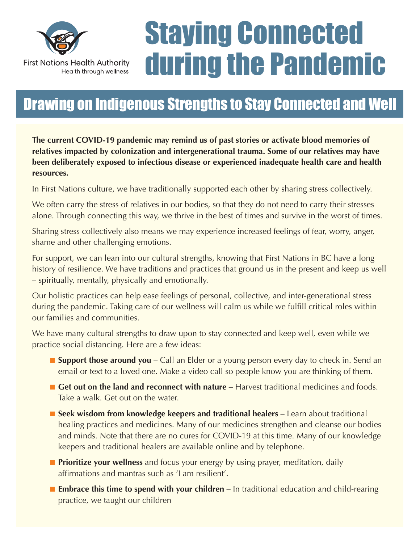

# Staying Connected during the Pandemic

## Drawing on Indigenous Strengths to Stay Connected and Well

**The current COVID-19 pandemic may remind us of past stories or activate blood memories of relatives impacted by colonization and intergenerational trauma. Some of our relatives may have been deliberately exposed to infectious disease or experienced inadequate health care and health resources.**

In First Nations culture, we have traditionally supported each other by sharing stress collectively.

We often carry the stress of relatives in our bodies, so that they do not need to carry their stresses alone. Through connecting this way, we thrive in the best of times and survive in the worst of times.

Sharing stress collectively also means we may experience increased feelings of fear, worry, anger, shame and other challenging emotions.

For support, we can lean into our cultural strengths, knowing that First Nations in BC have a long history of resilience. We have traditions and practices that ground us in the present and keep us well – spiritually, mentally, physically and emotionally.

Our holistic practices can help ease feelings of personal, collective, and inter-generational stress during the pandemic. Taking care of our wellness will calm us while we fulfill critical roles within our families and communities.

We have many cultural strengths to draw upon to stay connected and keep well, even while we practice social distancing. Here are a few ideas:

- **E** Support those around you Call an Elder or a young person every day to check in. Send an email or text to a loved one. Make a video call so people know you are thinking of them.
- **n** Get out on the land and reconnect with nature Harvest traditional medicines and foods. Take a walk. Get out on the water.
- Seek wisdom from knowledge keepers and traditional healers Learn about traditional healing practices and medicines. Many of our medicines strengthen and cleanse our bodies and minds. Note that there are no cures for COVID-19 at this time. Many of our knowledge keepers and traditional healers are available online and by telephone.
- **n Prioritize your wellness** and focus your energy by using prayer, meditation, daily affirmations and mantras such as 'I am resilient'.
- **Embrace this time to spend with your children** In traditional education and child-rearing practice, we taught our children